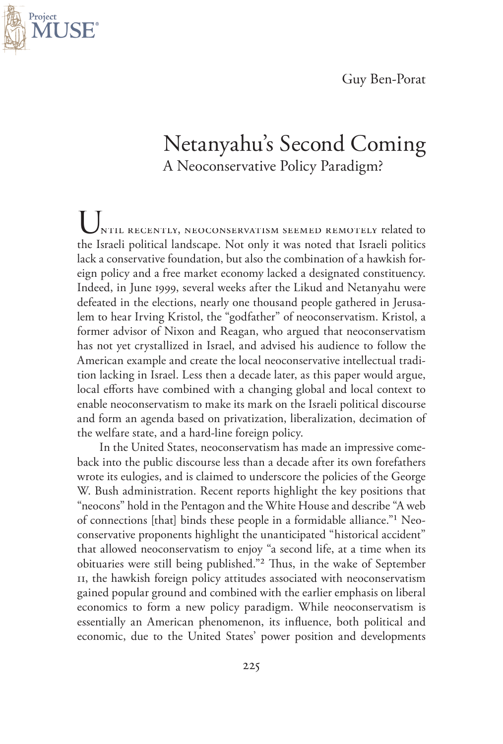Guy Ben-Porat



# Netanyahu's Second Coming A Neoconservative Policy Paradigm?

Until recently, neoconservatism seemed remotely related to the Israeli political landscape. Not only it was noted that Israeli politics lack a conservative foundation, but also the combination of a hawkish foreign policy and a free market economy lacked a designated constituency. Indeed, in June 1999, several weeks after the Likud and Netanyahu were defeated in the elections, nearly one thousand people gathered in Jerusalem to hear Irving Kristol, the "godfather" of neoconservatism. Kristol, a former advisor of Nixon and Reagan, who argued that neoconservatism has not yet crystallized in Israel, and advised his audience to follow the American example and create the local neoconservative intellectual tradition lacking in Israel. Less then a decade later, as this paper would argue, local efforts have combined with a changing global and local context to enable neoconservatism to make its mark on the Israeli political discourse and form an agenda based on privatization, liberalization, decimation of the welfare state, and a hard-line foreign policy.

In the United States, neoconservatism has made an impressive comeback into the public discourse less than a decade after its own forefathers wrote its eulogies, and is claimed to underscore the policies of the George W. Bush administration. Recent reports highlight the key positions that "neocons" hold in the Pentagon and the White House and describe "A web of connections [that] binds these people in a formidable alliance."<sup>1</sup> Neoconservative proponents highlight the unanticipated "historical accident" that allowed neoconservatism to enjoy "a second life, at a time when its obituaries were still being published."<sup>2</sup> Thus, in the wake of September 11, the hawkish foreign policy attitudes associated with neoconservatism gained popular ground and combined with the earlier emphasis on liberal economics to form a new policy paradigm. While neoconservatism is essentially an American phenomenon, its influence, both political and economic, due to the United States' power position and developments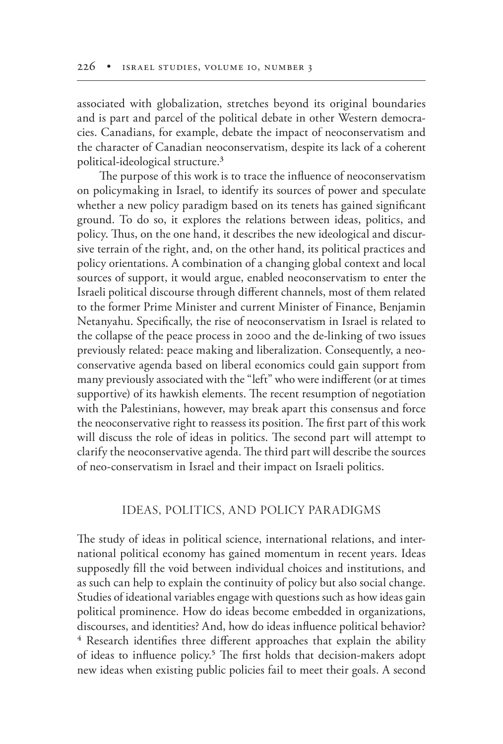associated with globalization, stretches beyond its original boundaries and is part and parcel of the political debate in other Western democracies. Canadians, for example, debate the impact of neoconservatism and the character of Canadian neoconservatism, despite its lack of a coherent political-ideological structure.³

The purpose of this work is to trace the influence of neoconservatism on policymaking in Israel, to identify its sources of power and speculate whether a new policy paradigm based on its tenets has gained significant ground. To do so, it explores the relations between ideas, politics, and policy. Thus, on the one hand, it describes the new ideological and discursive terrain of the right, and, on the other hand, its political practices and policy orientations. A combination of a changing global context and local sources of support, it would argue, enabled neoconservatism to enter the Israeli political discourse through different channels, most of them related to the former Prime Minister and current Minister of Finance, Benjamin Netanyahu. Specifically, the rise of neoconservatism in Israel is related to the collapse of the peace process in 2000 and the de-linking of two issues previously related: peace making and liberalization. Consequently, a neoconservative agenda based on liberal economics could gain support from many previously associated with the "left" who were indifferent (or at times supportive) of its hawkish elements. The recent resumption of negotiation with the Palestinians, however, may break apart this consensus and force the neoconservative right to reassess its position. The first part of this work will discuss the role of ideas in politics. The second part will attempt to clarify the neoconservative agenda. The third part will describe the sources of neo-conservatism in Israel and their impact on Israeli politics.

#### IDEAS, POLITICS, AND POLICY PARADIGMS

The study of ideas in political science, international relations, and international political economy has gained momentum in recent years. Ideas supposedly fill the void between individual choices and institutions, and as such can help to explain the continuity of policy but also social change. Studies of ideational variables engage with questions such as how ideas gain political prominence. How do ideas become embedded in organizations, discourses, and identities? And, how do ideas influence political behavior? <sup>4</sup> Research identifies three different approaches that explain the ability of ideas to influence policy.<sup>5</sup> The first holds that decision-makers adopt new ideas when existing public policies fail to meet their goals. A second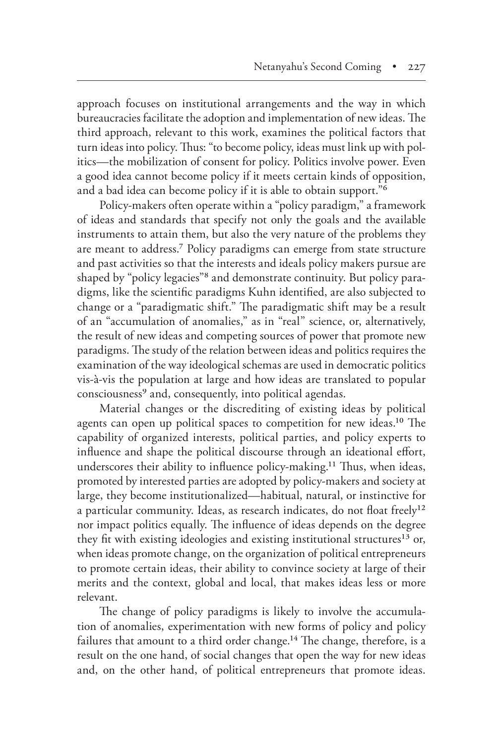approach focuses on institutional arrangements and the way in which bureaucracies facilitate the adoption and implementation of new ideas. The third approach, relevant to this work, examines the political factors that turn ideas into policy. Thus: "to become policy, ideas must link up with politics—the mobilization of consent for policy. Politics involve power. Even a good idea cannot become policy if it meets certain kinds of opposition, and a bad idea can become policy if it is able to obtain support."<sup>6</sup>

Policy-makers often operate within a "policy paradigm," a framework of ideas and standards that specify not only the goals and the available instruments to attain them, but also the very nature of the problems they are meant to address.<sup>7</sup> Policy paradigms can emerge from state structure and past activities so that the interests and ideals policy makers pursue are shaped by "policy legacies"<sup>8</sup> and demonstrate continuity. But policy paradigms, like the scientific paradigms Kuhn identified, are also subjected to change or a "paradigmatic shift." The paradigmatic shift may be a result of an "accumulation of anomalies," as in "real" science, or, alternatively, the result of new ideas and competing sources of power that promote new paradigms. The study of the relation between ideas and politics requires the examination of the way ideological schemas are used in democratic politics vis-à-vis the population at large and how ideas are translated to popular consciousness<sup>9</sup> and, consequently, into political agendas.

Material changes or the discrediting of existing ideas by political agents can open up political spaces to competition for new ideas.<sup>10</sup> The capability of organized interests, political parties, and policy experts to influence and shape the political discourse through an ideational effort, underscores their ability to influence policy-making.<sup>11</sup> Thus, when ideas, promoted by interested parties are adopted by policy-makers and society at large, they become institutionalized—habitual, natural, or instinctive for a particular community. Ideas, as research indicates, do not float freely<sup>12</sup> nor impact politics equally. The influence of ideas depends on the degree they fit with existing ideologies and existing institutional structures<sup>13</sup> or, when ideas promote change, on the organization of political entrepreneurs to promote certain ideas, their ability to convince society at large of their merits and the context, global and local, that makes ideas less or more relevant.

The change of policy paradigms is likely to involve the accumulation of anomalies, experimentation with new forms of policy and policy failures that amount to a third order change.<sup>14</sup> The change, therefore, is a result on the one hand, of social changes that open the way for new ideas and, on the other hand, of political entrepreneurs that promote ideas.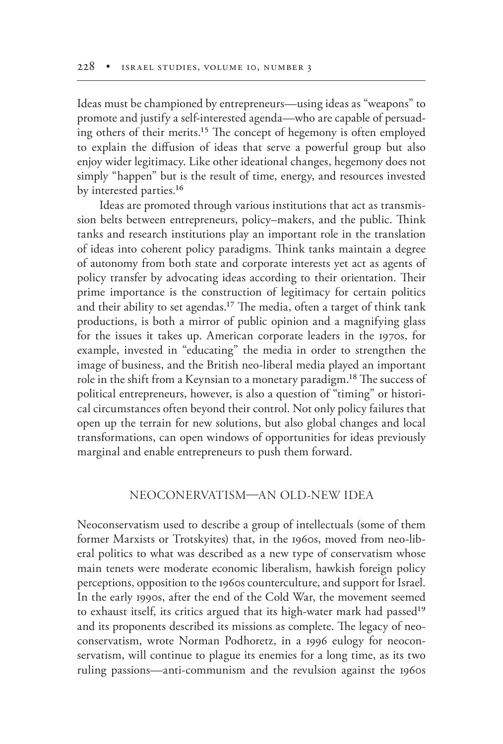Ideas must be championed by entrepreneurs—using ideas as "weapons" to promote and justify a self-interested agenda—who are capable of persuading others of their merits.<sup>15</sup> The concept of hegemony is often employed to explain the diffusion of ideas that serve a powerful group but also enjoy wider legitimacy. Like other ideational changes, hegemony does not simply "happen" but is the result of time, energy, and resources invested by interested parties.<sup>16</sup>

Ideas are promoted through various institutions that act as transmission belts between entrepreneurs, policy–makers, and the public. Think tanks and research institutions play an important role in the translation of ideas into coherent policy paradigms. Think tanks maintain a degree of autonomy from both state and corporate interests yet act as agents of policy transfer by advocating ideas according to their orientation. Their prime importance is the construction of legitimacy for certain politics and their ability to set agendas.<sup>17</sup> The media, often a target of think tank productions, is both a mirror of public opinion and a magnifying glass for the issues it takes up. American corporate leaders in the 1970s, for example, invested in "educating" the media in order to strengthen the image of business, and the British neo-liberal media played an important role in the shift from a Keynsian to a monetary paradigm.<sup>18</sup> The success of political entrepreneurs, however, is also a question of "timing" or historical circumstances often beyond their control. Not only policy failures that open up the terrain for new solutions, but also global changes and local transformations, can open windows of opportunities for ideas previously marginal and enable entrepreneurs to push them forward.

### NEOCONERVATISM-AN OLD-NEW IDEA

Neoconservatism used to describe a group of intellectuals (some of them former Marxists or Trotskyites) that, in the 1960s, moved from neo-liberal politics to what was described as a new type of conservatism whose main tenets were moderate economic liberalism, hawkish foreign policy perceptions, opposition to the 1960s counterculture, and support for Israel. In the early 1990s, after the end of the Cold War, the movement seemed to exhaust itself, its critics argued that its high-water mark had passed<sup>19</sup> and its proponents described its missions as complete. The legacy of neoconservatism, wrote Norman Podhoretz, in a 1996 eulogy for neoconservatism, will continue to plague its enemies for a long time, as its two ruling passions—anti-communism and the revulsion against the 1960s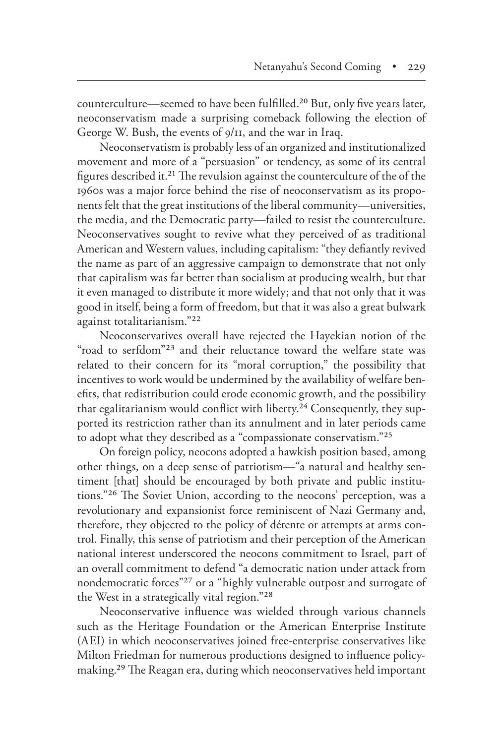counterculture—seemed to have been fulfilled.<sup>20</sup> But, only five years later, neoconservatism made a surprising comeback following the election of George W. Bush, the events of 9/11, and the war in Iraq.

Neoconservatism is probably less of an organized and institutionalized movement and more of a "persuasion" or tendency, as some of its central figures described it.<sup>21</sup> The revulsion against the counterculture of the of the 1960s was a major force behind the rise of neoconservatism as its proponents felt that the great institutions of the liberal community—universities, the media, and the Democratic party—failed to resist the counterculture. Neoconservatives sought to revive what they perceived of as traditional American and Western values, including capitalism: "they defiantly revived the name as part of an aggressive campaign to demonstrate that not only that capitalism was far better than socialism at producing wealth, but that it even managed to distribute it more widely; and that not only that it was good in itself, being a form of freedom, but that it was also a great bulwark against totalitarianism."<sup>22</sup>

Neoconservatives overall have rejected the Hayekian notion of the "road to serfdom"<sup>23</sup> and their reluctance toward the welfare state was related to their concern for its "moral corruption," the possibility that incentives to work would be undermined by the availability of welfare benefits, that redistribution could erode economic growth, and the possibility that egalitarianism would conflict with liberty.<sup>24</sup> Consequently, they supported its restriction rather than its annulment and in later periods came to adopt what they described as a "compassionate conservatism."<sup>25</sup>

On foreign policy, neocons adopted a hawkish position based, among other things, on a deep sense of patriotism—"a natural and healthy sentiment [that] should be encouraged by both private and public institutions."<sup>26</sup> The Soviet Union, according to the neocons' perception, was a revolutionary and expansionist force reminiscent of Nazi Germany and, therefore, they objected to the policy of détente or attempts at arms control. Finally, this sense of patriotism and their perception of the American national interest underscored the neocons commitment to Israel, part of an overall commitment to defend "a democratic nation under attack from nondemocratic forces"<sup>27</sup> or a "highly vulnerable outpost and surrogate of the West in a strategically vital region."<sup>28</sup>

Neoconservative influence was wielded through various channels such as the Heritage Foundation or the American Enterprise Institute (AEI) in which neoconservatives joined free-enterprise conservatives like Milton Friedman for numerous productions designed to influence policymaking.<sup>29</sup> The Reagan era, during which neoconservatives held important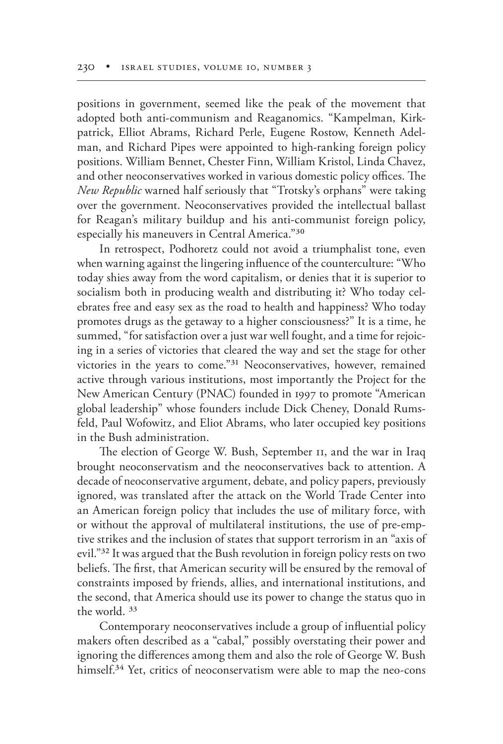positions in government, seemed like the peak of the movement that adopted both anti-communism and Reaganomics. "Kampelman, Kirkpatrick, Elliot Abrams, Richard Perle, Eugene Rostow, Kenneth Adelman, and Richard Pipes were appointed to high-ranking foreign policy positions. William Bennet, Chester Finn, William Kristol, Linda Chavez, and other neoconservatives worked in various domestic policy offices. The *New Republic* warned half seriously that "Trotsky's orphans" were taking over the government. Neoconservatives provided the intellectual ballast for Reagan's military buildup and his anti-communist foreign policy, especially his maneuvers in Central America."30

In retrospect, Podhoretz could not avoid a triumphalist tone, even when warning against the lingering influence of the counterculture: "Who today shies away from the word capitalism, or denies that it is superior to socialism both in producing wealth and distributing it? Who today celebrates free and easy sex as the road to health and happiness? Who today promotes drugs as the getaway to a higher consciousness?" It is a time, he summed, "for satisfaction over a just war well fought, and a time for rejoicing in a series of victories that cleared the way and set the stage for other victories in the years to come."<sup>31</sup> Neoconservatives, however, remained active through various institutions, most importantly the Project for the New American Century (PNAC) founded in 1997 to promote "American global leadership" whose founders include Dick Cheney, Donald Rumsfeld, Paul Wofowitz, and Eliot Abrams, who later occupied key positions in the Bush administration.

The election of George W. Bush, September 11, and the war in Iraq brought neoconservatism and the neoconservatives back to attention. A decade of neoconservative argument, debate, and policy papers, previously ignored, was translated after the attack on the World Trade Center into an American foreign policy that includes the use of military force, with or without the approval of multilateral institutions, the use of pre-emptive strikes and the inclusion of states that support terrorism in an "axis of evil."<sup>32</sup> It was argued that the Bush revolution in foreign policy rests on two beliefs. The first, that American security will be ensured by the removal of constraints imposed by friends, allies, and international institutions, and the second, that America should use its power to change the status quo in the world.<sup>33</sup>

Contemporary neoconservatives include a group of influential policy makers often described as a "cabal," possibly overstating their power and ignoring the differences among them and also the role of George W. Bush himself.<sup>34</sup> Yet, critics of neoconservatism were able to map the neo-cons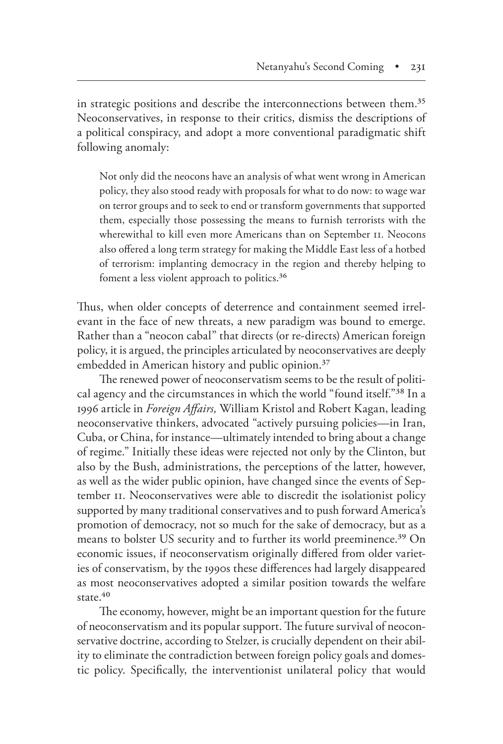in strategic positions and describe the interconnections between them.<sup>35</sup> Neoconservatives, in response to their critics, dismiss the descriptions of a political conspiracy, and adopt a more conventional paradigmatic shift following anomaly:

Not only did the neocons have an analysis of what went wrong in American policy, they also stood ready with proposals for what to do now: to wage war on terror groups and to seek to end or transform governments that supported them, especially those possessing the means to furnish terrorists with the wherewithal to kill even more Americans than on September 11. Neocons also offered a long term strategy for making the Middle East less of a hotbed of terrorism: implanting democracy in the region and thereby helping to foment a less violent approach to politics.<sup>36</sup>

Thus, when older concepts of deterrence and containment seemed irrelevant in the face of new threats, a new paradigm was bound to emerge. Rather than a "neocon cabal" that directs (or re-directs) American foreign policy, it is argued, the principles articulated by neoconservatives are deeply embedded in American history and public opinion.<sup>37</sup>

The renewed power of neoconservatism seems to be the result of political agency and the circumstances in which the world "found itself."<sup>38</sup> In a 1996 article in *Foreign Affairs*, William Kristol and Robert Kagan, leading neoconservative thinkers, advocated "actively pursuing policies—in Iran, Cuba, or China, for instance—ultimately intended to bring about a change of regime." Initially these ideas were rejected not only by the Clinton, but also by the Bush, administrations, the perceptions of the latter, however, as well as the wider public opinion, have changed since the events of September 11. Neoconservatives were able to discredit the isolationist policy supported by many traditional conservatives and to push forward America's promotion of democracy, not so much for the sake of democracy, but as a means to bolster US security and to further its world preeminence.<sup>39</sup> On economic issues, if neoconservatism originally differed from older varieties of conservatism, by the 1990s these differences had largely disappeared as most neoconservatives adopted a similar position towards the welfare state.<sup>40</sup>

The economy, however, might be an important question for the future of neoconservatism and its popular support. The future survival of neoconservative doctrine, according to Stelzer, is crucially dependent on their ability to eliminate the contradiction between foreign policy goals and domestic policy. Specifically, the interventionist unilateral policy that would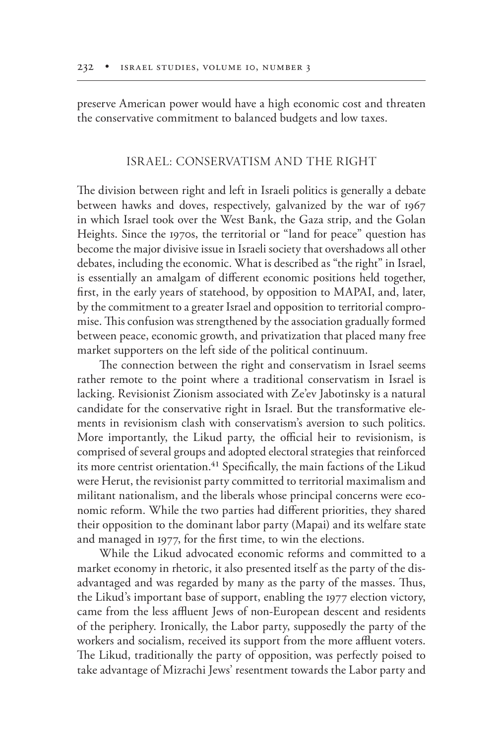preserve American power would have a high economic cost and threaten the conservative commitment to balanced budgets and low taxes.

#### ISRAEL: CONSERVATISM AND THE RIGHT

The division between right and left in Israeli politics is generally a debate between hawks and doves, respectively, galvanized by the war of 1967 in which Israel took over the West Bank, the Gaza strip, and the Golan Heights. Since the 1970s, the territorial or "land for peace" question has become the major divisive issue in Israeli society that overshadows all other debates, including the economic. What is described as "the right" in Israel, is essentially an amalgam of different economic positions held together, first, in the early years of statehood, by opposition to MAPAI, and, later, by the commitment to a greater Israel and opposition to territorial compromise. This confusion was strengthened by the association gradually formed between peace, economic growth, and privatization that placed many free market supporters on the left side of the political continuum.

The connection between the right and conservatism in Israel seems rather remote to the point where a traditional conservatism in Israel is lacking. Revisionist Zionism associated with Ze'ev Jabotinsky is a natural candidate for the conservative right in Israel. But the transformative elements in revisionism clash with conservatism's aversion to such politics. More importantly, the Likud party, the official heir to revisionism, is comprised of several groups and adopted electoral strategies that reinforced its more centrist orientation.<sup>41</sup> Specifically, the main factions of the Likud were Herut, the revisionist party committed to territorial maximalism and militant nationalism, and the liberals whose principal concerns were economic reform. While the two parties had different priorities, they shared their opposition to the dominant labor party (Mapai) and its welfare state and managed in 1977, for the first time, to win the elections.

While the Likud advocated economic reforms and committed to a market economy in rhetoric, it also presented itself as the party of the disadvantaged and was regarded by many as the party of the masses. Thus, the Likud's important base of support, enabling the 1977 election victory, came from the less affluent Jews of non-European descent and residents of the periphery. Ironically, the Labor party, supposedly the party of the workers and socialism, received its support from the more affluent voters. The Likud, traditionally the party of opposition, was perfectly poised to take advantage of Mizrachi Jews' resentment towards the Labor party and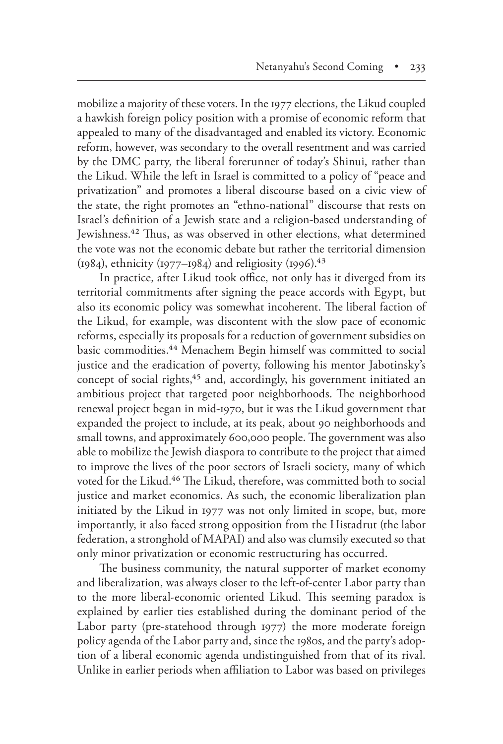mobilize a majority of these voters. In the 1977 elections, the Likud coupled a hawkish foreign policy position with a promise of economic reform that appealed to many of the disadvantaged and enabled its victory. Economic reform, however, was secondary to the overall resentment and was carried by the DMC party, the liberal forerunner of today's Shinui, rather than the Likud. While the left in Israel is committed to a policy of "peace and privatization" and promotes a liberal discourse based on a civic view of the state, the right promotes an "ethno-national" discourse that rests on Israel's definition of a Jewish state and a religion-based understanding of Jewishness.<sup>42</sup> Thus, as was observed in other elections, what determined the vote was not the economic debate but rather the territorial dimension (1984), ethnicity (1977–1984) and religiosity (1996). $43$ 

In practice, after Likud took office, not only has it diverged from its territorial commitments after signing the peace accords with Egypt, but also its economic policy was somewhat incoherent. The liberal faction of the Likud, for example, was discontent with the slow pace of economic reforms, especially its proposals for a reduction of government subsidies on basic commodities.<sup>44</sup> Menachem Begin himself was committed to social justice and the eradication of poverty, following his mentor Jabotinsky's concept of social rights,<sup>45</sup> and, accordingly, his government initiated an ambitious project that targeted poor neighborhoods. The neighborhood renewal project began in mid-1970, but it was the Likud government that expanded the project to include, at its peak, about 90 neighborhoods and small towns, and approximately 600,000 people. The government was also able to mobilize the Jewish diaspora to contribute to the project that aimed to improve the lives of the poor sectors of Israeli society, many of which voted for the Likud.<sup>46</sup> The Likud, therefore, was committed both to social justice and market economics. As such, the economic liberalization plan initiated by the Likud in 1977 was not only limited in scope, but, more importantly, it also faced strong opposition from the Histadrut (the labor federation, a stronghold of MAPAI) and also was clumsily executed so that only minor privatization or economic restructuring has occurred.

The business community, the natural supporter of market economy and liberalization, was always closer to the left-of-center Labor party than to the more liberal-economic oriented Likud. This seeming paradox is explained by earlier ties established during the dominant period of the Labor party (pre-statehood through 1977) the more moderate foreign policy agenda of the Labor party and, since the 1980s, and the party's adoption of a liberal economic agenda undistinguished from that of its rival. Unlike in earlier periods when affiliation to Labor was based on privileges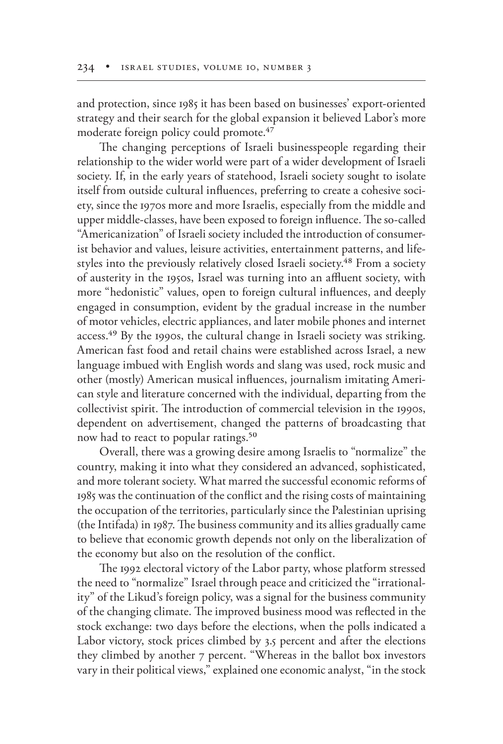and protection, since 1985 it has been based on businesses' export-oriented strategy and their search for the global expansion it believed Labor's more moderate foreign policy could promote.<sup>47</sup>

The changing perceptions of Israeli businesspeople regarding their relationship to the wider world were part of a wider development of Israeli society. If, in the early years of statehood, Israeli society sought to isolate itself from outside cultural influences, preferring to create a cohesive society, since the 1970s more and more Israelis, especially from the middle and upper middle-classes, have been exposed to foreign influence. The so-called "Americanization" of Israeli society included the introduction of consumerist behavior and values, leisure activities, entertainment patterns, and lifestyles into the previously relatively closed Israeli society.<sup>48</sup> From a society of austerity in the 1950s, Israel was turning into an affluent society, with more "hedonistic" values, open to foreign cultural influences, and deeply engaged in consumption, evident by the gradual increase in the number of motor vehicles, electric appliances, and later mobile phones and internet access.<sup>49</sup> By the 1990s, the cultural change in Israeli society was striking. American fast food and retail chains were established across Israel, a new language imbued with English words and slang was used, rock music and other (mostly) American musical influences, journalism imitating American style and literature concerned with the individual, departing from the collectivist spirit. The introduction of commercial television in the 1990s, dependent on advertisement, changed the patterns of broadcasting that now had to react to popular ratings.<sup>50</sup>

Overall, there was a growing desire among Israelis to "normalize" the country, making it into what they considered an advanced, sophisticated, and more tolerant society. What marred the successful economic reforms of 1985 was the continuation of the conflict and the rising costs of maintaining the occupation of the territories, particularly since the Palestinian uprising (the Intifada) in 1987. The business community and its allies gradually came to believe that economic growth depends not only on the liberalization of the economy but also on the resolution of the conflict.

The 1992 electoral victory of the Labor party, whose platform stressed the need to "normalize" Israel through peace and criticized the "irrationality" of the Likud's foreign policy, was a signal for the business community of the changing climate. The improved business mood was reflected in the stock exchange: two days before the elections, when the polls indicated a Labor victory, stock prices climbed by 3.5 percent and after the elections they climbed by another 7 percent. "Whereas in the ballot box investors vary in their political views," explained one economic analyst, "in the stock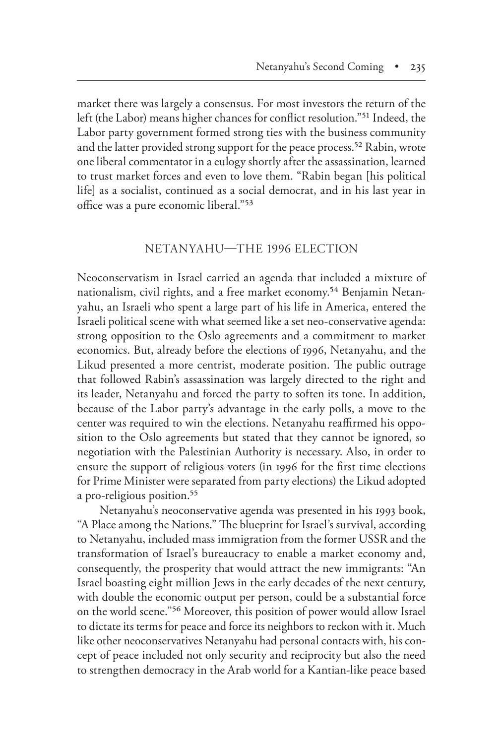market there was largely a consensus. For most investors the return of the left (the Labor) means higher chances for conflict resolution."<sup>51</sup> Indeed, the Labor party government formed strong ties with the business community and the latter provided strong support for the peace process.<sup>52</sup> Rabin, wrote one liberal commentator in a eulogy shortly after the assassination, learned to trust market forces and even to love them. "Rabin began [his political life] as a socialist, continued as a social democrat, and in his last year in office was a pure economic liberal."<sup>53</sup>

## NETANYAHU-THE 1996 ELECTION

Neoconservatism in Israel carried an agenda that included a mixture of nationalism, civil rights, and a free market economy.<sup>54</sup> Benjamin Netanyahu, an Israeli who spent a large part of his life in America, entered the Israeli political scene with what seemed like a set neo-conservative agenda: strong opposition to the Oslo agreements and a commitment to market economics. But, already before the elections of 1996, Netanyahu, and the Likud presented a more centrist, moderate position. The public outrage that followed Rabin's assassination was largely directed to the right and its leader, Netanyahu and forced the party to soften its tone. In addition, because of the Labor party's advantage in the early polls, a move to the center was required to win the elections. Netanyahu reaffirmed his opposition to the Oslo agreements but stated that they cannot be ignored, so negotiation with the Palestinian Authority is necessary. Also, in order to ensure the support of religious voters (in 1996 for the first time elections for Prime Minister were separated from party elections) the Likud adopted a pro-religious position.<sup>55</sup>

Netanyahu's neoconservative agenda was presented in his 1993 book, "A Place among the Nations." The blueprint for Israel's survival, according to Netanyahu, included mass immigration from the former USSR and the transformation of Israel's bureaucracy to enable a market economy and, consequently, the prosperity that would attract the new immigrants: "An Israel boasting eight million Jews in the early decades of the next century, with double the economic output per person, could be a substantial force on the world scene."<sup>56</sup> Moreover, this position of power would allow Israel to dictate its terms for peace and force its neighbors to reckon with it. Much like other neoconservatives Netanyahu had personal contacts with, his concept of peace included not only security and reciprocity but also the need to strengthen democracy in the Arab world for a Kantian-like peace based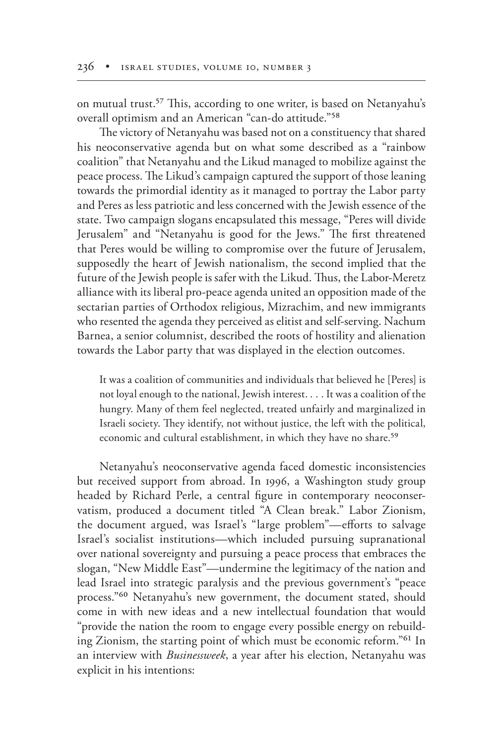on mutual trust.<sup>57</sup> This, according to one writer, is based on Netanyahu's overall optimism and an American "can-do attitude."<sup>58</sup>

The victory of Netanyahu was based not on a constituency that shared his neoconservative agenda but on what some described as a "rainbow coalition" that Netanyahu and the Likud managed to mobilize against the peace process. The Likud's campaign captured the support of those leaning towards the primordial identity as it managed to portray the Labor party and Peres as less patriotic and less concerned with the Jewish essence of the state. Two campaign slogans encapsulated this message, "Peres will divide Jerusalem" and "Netanyahu is good for the Jews." The first threatened that Peres would be willing to compromise over the future of Jerusalem, supposedly the heart of Jewish nationalism, the second implied that the future of the Jewish people is safer with the Likud. Thus, the Labor-Meretz alliance with its liberal pro-peace agenda united an opposition made of the sectarian parties of Orthodox religious, Mizrachim, and new immigrants who resented the agenda they perceived as elitist and self-serving. Nachum Barnea, a senior columnist, described the roots of hostility and alienation towards the Labor party that was displayed in the election outcomes.

It was a coalition of communities and individuals that believed he [Peres] is not loyal enough to the national, Jewish interest. . . . It was a coalition of the hungry. Many of them feel neglected, treated unfairly and marginalized in Israeli society. They identify, not without justice, the left with the political, economic and cultural establishment, in which they have no share.<sup>59</sup>

Netanyahu's neoconservative agenda faced domestic inconsistencies but received support from abroad. In 1996, a Washington study group headed by Richard Perle, a central figure in contemporary neoconservatism, produced a document titled "A Clean break." Labor Zionism, the document argued, was Israel's "large problem"-efforts to salvage Israel's socialist institutions—which included pursuing supranational over national sovereignty and pursuing a peace process that embraces the slogan, "New Middle East"—undermine the legitimacy of the nation and lead Israel into strategic paralysis and the previous government's "peace process."<sup>60</sup> Netanyahu's new government, the document stated, should come in with new ideas and a new intellectual foundation that would "provide the nation the room to engage every possible energy on rebuilding Zionism, the starting point of which must be economic reform."<sup>61</sup> In an interview with *Businessweek*, a year after his election, Netanyahu was explicit in his intentions: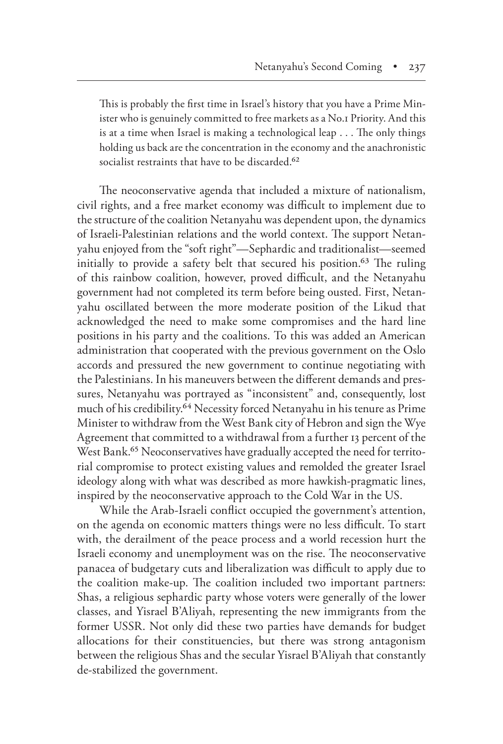This is probably the first time in Israel's history that you have a Prime Minister who is genuinely committed to free markets as a No.1 Priority. And this is at a time when Israel is making a technological leap . . . The only things holding us back are the concentration in the economy and the anachronistic socialist restraints that have to be discarded.<sup>62</sup>

The neoconservative agenda that included a mixture of nationalism, civil rights, and a free market economy was difficult to implement due to the structure of the coalition Netanyahu was dependent upon, the dynamics of Israeli-Palestinian relations and the world context. The support Netanyahu enjoyed from the "soft right"—Sephardic and traditionalist—seemed initially to provide a safety belt that secured his position.<sup>63</sup> The ruling of this rainbow coalition, however, proved difficult, and the Netanyahu government had not completed its term before being ousted. First, Netanyahu oscillated between the more moderate position of the Likud that acknowledged the need to make some compromises and the hard line positions in his party and the coalitions. To this was added an American administration that cooperated with the previous government on the Oslo accords and pressured the new government to continue negotiating with the Palestinians. In his maneuvers between the different demands and pressures, Netanyahu was portrayed as "inconsistent" and, consequently, lost much of his credibility.<sup>64</sup> Necessity forced Netanyahu in his tenure as Prime Minister to withdraw from the West Bank city of Hebron and sign the Wye Agreement that committed to a withdrawal from a further 13 percent of the West Bank.<sup>65</sup> Neoconservatives have gradually accepted the need for territorial compromise to protect existing values and remolded the greater Israel ideology along with what was described as more hawkish-pragmatic lines, inspired by the neoconservative approach to the Cold War in the US.

While the Arab-Israeli conflict occupied the government's attention, on the agenda on economic matters things were no less difficult. To start with, the derailment of the peace process and a world recession hurt the Israeli economy and unemployment was on the rise. The neoconservative panacea of budgetary cuts and liberalization was difficult to apply due to the coalition make-up. The coalition included two important partners: Shas, a religious sephardic party whose voters were generally of the lower classes, and Yisrael B'Aliyah, representing the new immigrants from the former USSR. Not only did these two parties have demands for budget allocations for their constituencies, but there was strong antagonism between the religious Shas and the secular Yisrael B'Aliyah that constantly de-stabilized the government.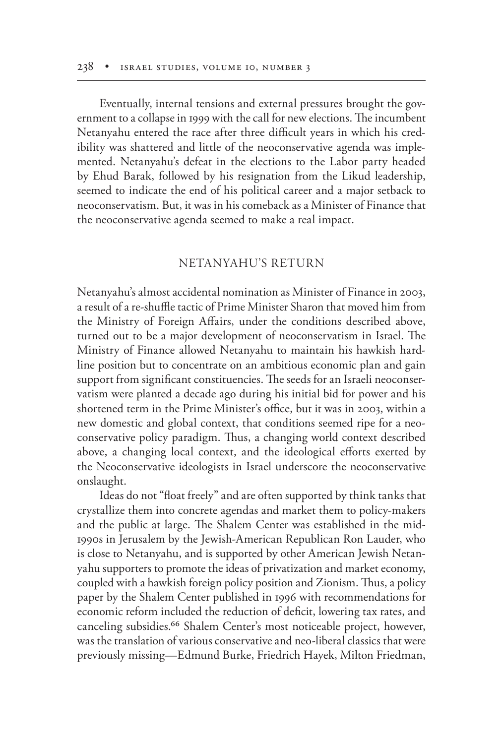Eventually, internal tensions and external pressures brought the government to a collapse in 1999 with the call for new elections. The incumbent Netanyahu entered the race after three difficult years in which his credibility was shattered and little of the neoconservative agenda was implemented. Netanyahu's defeat in the elections to the Labor party headed by Ehud Barak, followed by his resignation from the Likud leadership, seemed to indicate the end of his political career and a major setback to neoconservatism. But, it was in his comeback as a Minister of Finance that the neoconservative agenda seemed to make a real impact.

# NETANYAHU'S RETURN

Netanyahu's almost accidental nomination as Minister of Finance in 2003, a result of a re-shuffle tactic of Prime Minister Sharon that moved him from the Ministry of Foreign Affairs, under the conditions described above, turned out to be a major development of neoconservatism in Israel. The Ministry of Finance allowed Netanyahu to maintain his hawkish hardline position but to concentrate on an ambitious economic plan and gain support from significant constituencies. The seeds for an Israeli neoconservatism were planted a decade ago during his initial bid for power and his shortened term in the Prime Minister's office, but it was in 2003, within a new domestic and global context, that conditions seemed ripe for a neoconservative policy paradigm. Thus, a changing world context described above, a changing local context, and the ideological efforts exerted by the Neoconservative ideologists in Israel underscore the neoconservative onslaught.

Ideas do not "float freely" and are often supported by think tanks that crystallize them into concrete agendas and market them to policy-makers and the public at large. The Shalem Center was established in the mid-1990s in Jerusalem by the Jewish-American Republican Ron Lauder, who is close to Netanyahu, and is supported by other American Jewish Netanyahu supporters to promote the ideas of privatization and market economy, coupled with a hawkish foreign policy position and Zionism. Thus, a policy paper by the Shalem Center published in 1996 with recommendations for economic reform included the reduction of deficit, lowering tax rates, and canceling subsidies.<sup>66</sup> Shalem Center's most noticeable project, however, was the translation of various conservative and neo-liberal classics that were previously missing—Edmund Burke, Friedrich Hayek, Milton Friedman,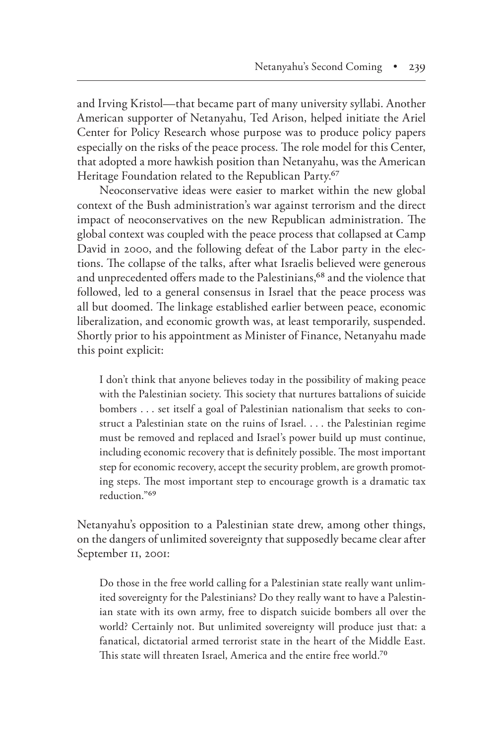and Irving Kristol—that became part of many university syllabi. Another American supporter of Netanyahu, Ted Arison, helped initiate the Ariel Center for Policy Research whose purpose was to produce policy papers especially on the risks of the peace process. The role model for this Center, that adopted a more hawkish position than Netanyahu, was the American Heritage Foundation related to the Republican Party.<sup>67</sup>

Neoconservative ideas were easier to market within the new global context of the Bush administration's war against terrorism and the direct impact of neoconservatives on the new Republican administration. The global context was coupled with the peace process that collapsed at Camp David in 2000, and the following defeat of the Labor party in the elections. The collapse of the talks, after what Israelis believed were generous and unprecedented offers made to the Palestinians,<sup>68</sup> and the violence that followed, led to a general consensus in Israel that the peace process was all but doomed. The linkage established earlier between peace, economic liberalization, and economic growth was, at least temporarily, suspended. Shortly prior to his appointment as Minister of Finance, Netanyahu made this point explicit:

I don't think that anyone believes today in the possibility of making peace with the Palestinian society. This society that nurtures battalions of suicide bombers . . . set itself a goal of Palestinian nationalism that seeks to construct a Palestinian state on the ruins of Israel. . . . the Palestinian regime must be removed and replaced and Israel's power build up must continue, including economic recovery that is definitely possible. The most important step for economic recovery, accept the security problem, are growth promoting steps. The most important step to encourage growth is a dramatic tax reduction."<sup>69</sup>

Netanyahu's opposition to a Palestinian state drew, among other things, on the dangers of unlimited sovereignty that supposedly became clear after September II, 2001:

Do those in the free world calling for a Palestinian state really want unlimited sovereignty for the Palestinians? Do they really want to have a Palestinian state with its own army, free to dispatch suicide bombers all over the world? Certainly not. But unlimited sovereignty will produce just that: a fanatical, dictatorial armed terrorist state in the heart of the Middle East. This state will threaten Israel, America and the entire free world.<sup>70</sup>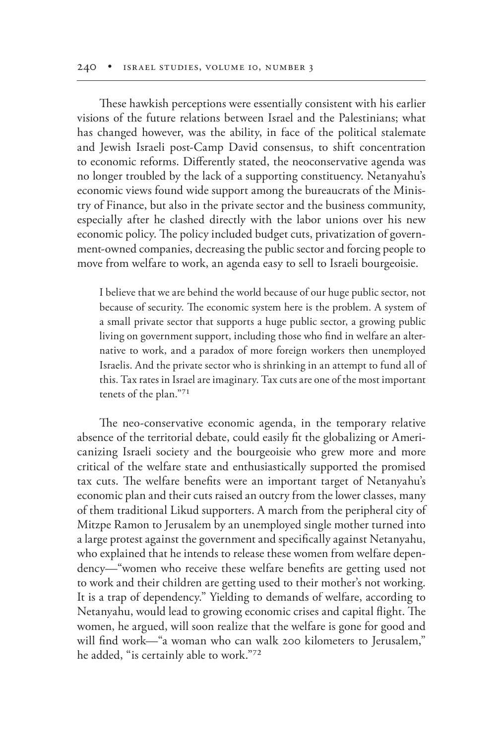These hawkish perceptions were essentially consistent with his earlier visions of the future relations between Israel and the Palestinians; what has changed however, was the ability, in face of the political stalemate and Jewish Israeli post-Camp David consensus, to shift concentration to economic reforms. Differently stated, the neoconservative agenda was no longer troubled by the lack of a supporting constituency. Netanyahu's economic views found wide support among the bureaucrats of the Ministry of Finance, but also in the private sector and the business community, especially after he clashed directly with the labor unions over his new economic policy. The policy included budget cuts, privatization of government-owned companies, decreasing the public sector and forcing people to move from welfare to work, an agenda easy to sell to Israeli bourgeoisie.

I believe that we are behind the world because of our huge public sector, not because of security. The economic system here is the problem. A system of a small private sector that supports a huge public sector, a growing public living on government support, including those who find in welfare an alternative to work, and a paradox of more foreign workers then unemployed Israelis. And the private sector who is shrinking in an attempt to fund all of this. Tax rates in Israel are imaginary. Tax cuts are one of the most important tenets of the plan."71

The neo-conservative economic agenda, in the temporary relative absence of the territorial debate, could easily fit the globalizing or Americanizing Israeli society and the bourgeoisie who grew more and more critical of the welfare state and enthusiastically supported the promised tax cuts. The welfare benefits were an important target of Netanyahu's economic plan and their cuts raised an outcry from the lower classes, many of them traditional Likud supporters. A march from the peripheral city of Mitzpe Ramon to Jerusalem by an unemployed single mother turned into a large protest against the government and specifically against Netanyahu, who explained that he intends to release these women from welfare dependency—"women who receive these welfare benefits are getting used not to work and their children are getting used to their mother's not working. It is a trap of dependency." Yielding to demands of welfare, according to Netanyahu, would lead to growing economic crises and capital flight. The women, he argued, will soon realize that the welfare is gone for good and will find work—"a woman who can walk 200 kilometers to Jerusalem," he added, "is certainly able to work."72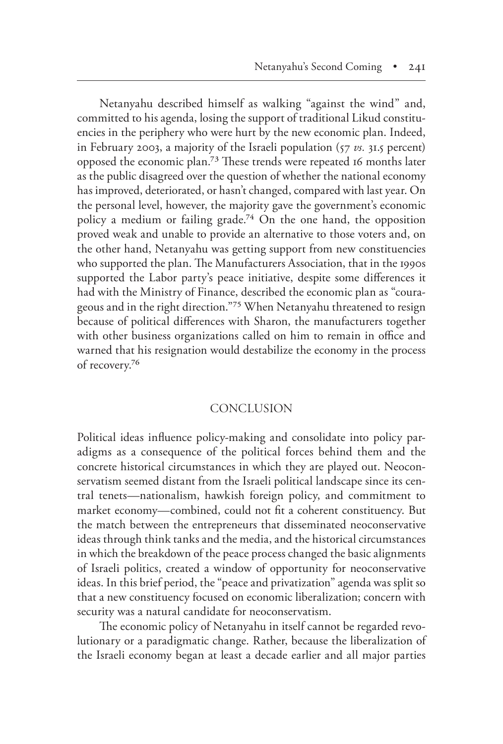Netanyahu described himself as walking "against the wind" and, committed to his agenda, losing the support of traditional Likud constituencies in the periphery who were hurt by the new economic plan. Indeed, in February 2003, a majority of the Israeli population (57 *vs.* 31.5 percent) opposed the economic plan.<sup>73</sup> These trends were repeated 16 months later as the public disagreed over the question of whether the national economy has improved, deteriorated, or hasn't changed, compared with last year. On the personal level, however, the majority gave the government's economic policy a medium or failing grade.<sup>74</sup> On the one hand, the opposition proved weak and unable to provide an alternative to those voters and, on the other hand, Netanyahu was getting support from new constituencies who supported the plan. The Manufacturers Association, that in the 1990s supported the Labor party's peace initiative, despite some differences it had with the Ministry of Finance, described the economic plan as "courageous and in the right direction."<sup>75</sup> When Netanyahu threatened to resign because of political differences with Sharon, the manufacturers together with other business organizations called on him to remain in office and warned that his resignation would destabilize the economy in the process of recovery.<sup>76</sup>

### CONCLUSION

Political ideas influence policy-making and consolidate into policy paradigms as a consequence of the political forces behind them and the concrete historical circumstances in which they are played out. Neoconservatism seemed distant from the Israeli political landscape since its central tenets—nationalism, hawkish foreign policy, and commitment to market economy—combined, could not fit a coherent constituency. But the match between the entrepreneurs that disseminated neoconservative ideas through think tanks and the media, and the historical circumstances in which the breakdown of the peace process changed the basic alignments of Israeli politics, created a window of opportunity for neoconservative ideas. In this brief period, the "peace and privatization" agenda was split so that a new constituency focused on economic liberalization; concern with security was a natural candidate for neoconservatism.

The economic policy of Netanyahu in itself cannot be regarded revolutionary or a paradigmatic change. Rather, because the liberalization of the Israeli economy began at least a decade earlier and all major parties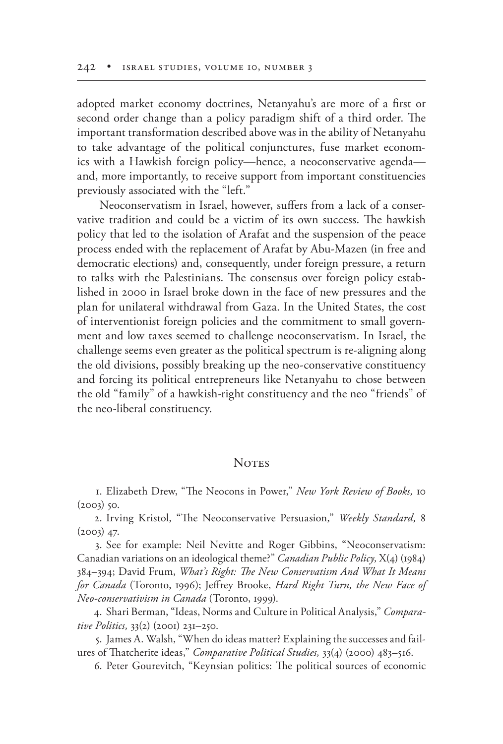adopted market economy doctrines, Netanyahu's are more of a first or second order change than a policy paradigm shift of a third order. The important transformation described above was in the ability of Netanyahu to take advantage of the political conjunctures, fuse market economics with a Hawkish foreign policy—hence, a neoconservative agenda and, more importantly, to receive support from important constituencies previously associated with the "left."

Neoconservatism in Israel, however, suffers from a lack of a conservative tradition and could be a victim of its own success. The hawkish policy that led to the isolation of Arafat and the suspension of the peace process ended with the replacement of Arafat by Abu-Mazen (in free and democratic elections) and, consequently, under foreign pressure, a return to talks with the Palestinians. The consensus over foreign policy established in 2000 in Israel broke down in the face of new pressures and the plan for unilateral withdrawal from Gaza. In the United States, the cost of interventionist foreign policies and the commitment to small government and low taxes seemed to challenge neoconservatism. In Israel, the challenge seems even greater as the political spectrum is re-aligning along the old divisions, possibly breaking up the neo-conservative constituency and forcing its political entrepreneurs like Netanyahu to chose between the old "family" of a hawkish-right constituency and the neo "friends" of the neo-liberal constituency.

# **NOTES**

1. Elizabeth Drew, "The Neocons in Power," *New York Review of Books*, 10  $(2003)$  50.

2. Irving Kristol, "The Neoconservative Persuasion," Weekly Standard, 8  $(2003)$  47.

3. See for example: Neil Nevitte and Roger Gibbins, "Neoconservatism: Canadian variations on an ideological theme?" *Canadian Public Policy,* X(4) (1984) 384–394; David Frum, *What's Right: The New Conservatism And What It Means for Canada* (Toronto, 1996); Jeff rey Brooke, *Hard Right Turn, the New Face of Neo-conservativism in Canada* (Toronto, 1999).

4. Shari Berman, "Ideas, Norms and Culture in Political Analysis," *Comparative Politics,* 33(2) (2001) 231–250.

5. James A. Walsh, "When do ideas matter? Explaining the successes and failures of Th atcherite ideas," *Comparative Political Studies,* 33(4) (2000) 483–516.

6. Peter Gourevitch, "Keynsian politics: The political sources of economic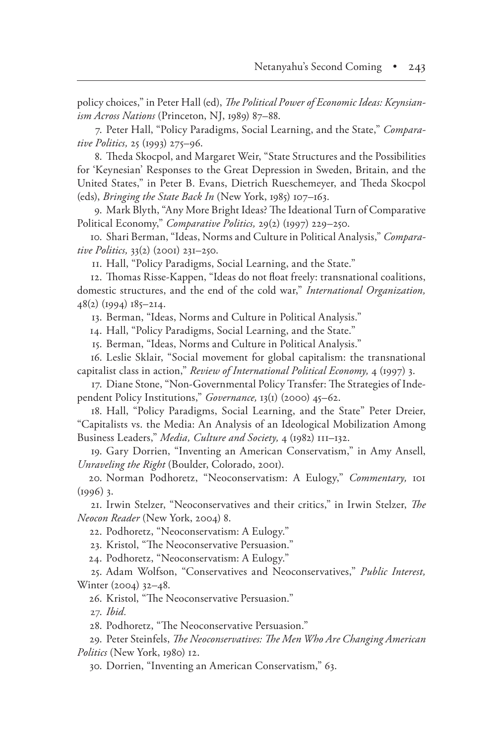policy choices," in Peter Hall (ed), *The Political Power of Economic Ideas: Keynsianism Across Nations* (Princeton, NJ, 1989) 87–88.

7. Peter Hall, "Policy Paradigms, Social Learning, and the State," *Comparative Politics,* 25 (1993) 275–96.

8. Theda Skocpol, and Margaret Weir, "State Structures and the Possibilities for 'Keynesian' Responses to the Great Depression in Sweden, Britain, and the United States," in Peter B. Evans, Dietrich Rueschemeyer, and Theda Skocpol (eds), *Bringing the State Back In* (New York, 1985) 107–163.

9. Mark Blyth, "Any More Bright Ideas? The Ideational Turn of Comparative Political Economy," *Comparative Politics,* 29(2) (1997) 229–250.

10. Shari Berman, "Ideas, Norms and Culture in Political Analysis," *Comparative Politics,* 33(2) (2001) 231–250.

11. Hall, "Policy Paradigms, Social Learning, and the State."

12. Thomas Risse-Kappen, "Ideas do not float freely: transnational coalitions, domestic structures, and the end of the cold war," *International Organization,* 48(2) (1994) 185–214.

13. Berman, "Ideas, Norms and Culture in Political Analysis."

14. Hall, "Policy Paradigms, Social Learning, and the State."

15. Berman, "Ideas, Norms and Culture in Political Analysis."

16. Leslie Sklair, "Social movement for global capitalism: the transnational capitalist class in action," *Review of International Political Economy,* 4 (1997) 3.

17. Diane Stone, "Non-Governmental Policy Transfer: The Strategies of Independent Policy Institutions," *Governance,* 13(1) (2000) 45–62.

18. Hall, "Policy Paradigms, Social Learning, and the State" Peter Dreier, "Capitalists vs. the Media: An Analysis of an Ideological Mobilization Among Business Leaders," *Media, Culture and Society,* 4 (1982) 111–132.

19. Gary Dorrien, "Inventing an American Conservatism," in Amy Ansell, *Unraveling the Right* (Boulder, Colorado, 2001).

20. Norman Podhoretz, "Neoconservatism: A Eulogy," *Commentary,* 101  $(1996)$  3.

21. Irwin Stelzer, "Neoconservatives and their critics," in Irwin Stelzer, *The Neocon Reader* (New York, 2004) 8.

22. Podhoretz, "Neoconservatism: A Eulogy."

23. Kristol, "The Neoconservative Persuasion."

24. Podhoretz, "Neoconservatism: A Eulogy."

25. Adam Wolfson, "Conservatives and Neoconservatives," *Public Interest,* Winter (2004) 32–48.

26. Kristol, "The Neoconservative Persuasion."

27. *Ibid.*

28. Podhoretz, "The Neoconservative Persuasion."

29. Peter Steinfels, *The Neoconservatives: The Men Who Are Changing American Politics* (New York, 1980) 12.

30. Dorrien, "Inventing an American Conservatism," 63.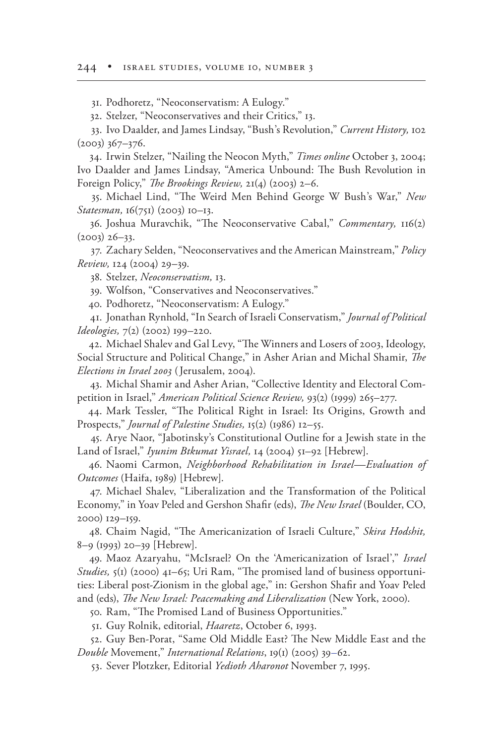31. Podhoretz, "Neoconservatism: A Eulogy."

32. Stelzer, "Neoconservatives and their Critics," 13.

33. Ivo Daalder, and James Lindsay, "Bush's Revolution," *Current History,* 102  $(2003)$  367–376.

34. Irwin Stelzer, "Nailing the Neocon Myth," *Times online* October 3, 2004; Ivo Daalder and James Lindsay, "America Unbound: The Bush Revolution in Foreign Policy," *The Brookings Review*, 21(4) (2003) 2-6.

35. Michael Lind, "The Weird Men Behind George W Bush's War," *New Statesman,* 16(751) (2003) 10–13.

36. Joshua Muravchik, "The Neoconservative Cabal," *Commentary*, 116(2)  $(2003)$   $26 - 33$ .

37. Zachary Selden, "Neoconservatives and the American Mainstream," *Policy Review,* 124 (2004) 29–39.

38. Stelzer, *Neoconservatism,* 13.

39. Wolfson, "Conservatives and Neoconservatives."

40. Podhoretz, "Neoconservatism: A Eulogy."

41. Jonathan Rynhold, "In Search of Israeli Conservatism," *Journal of Political Ideologies,* 7(2) (2002) 199–220.

42. Michael Shalev and Gal Levy, "The Winners and Losers of 2003, Ideology, Social Structure and Political Change," in Asher Arian and Michal Shamir, *The Elections in Israel 2003* ( Jerusalem, 2004).

43. Michal Shamir and Asher Arian, "Collective Identity and Electoral Competition in Israel," *American Political Science Review,* 93(2) (1999) 265–277.

44. Mark Tessler, "The Political Right in Israel: Its Origins, Growth and Prospects," *Journal of Palestine Studies,* 15(2) (1986) 12–55.

45. Arye Naor, "Jabotinsky's Constitutional Outline for a Jewish state in the Land of Israel," *Iyunim Btkumat Yisrael,* 14 (2004) 51–92 [Hebrew].

46. Naomi Carmon, *Neighborhood Rehabilitation in Israel—Evaluation of Outcomes* (Haifa, 1989) [Hebrew].

47. Michael Shalev, "Liberalization and the Transformation of the Political Economy," in Yoav Peled and Gershon Shafir (eds), *The New Israel* (Boulder, CO, 2000) 129–159.

48. Chaim Nagid, "The Americanization of Israeli Culture," Skira Hodshit, 8–9 (1993) 20–39 [Hebrew].

49. Maoz Azaryahu, "McIsrael? On the 'Americanization of Israel'," *Israel Studies*, 5(1) (2000) 41–65; Uri Ram, "The promised land of business opportunities: Liberal post-Zionism in the global age," in: Gershon Shafir and Yoav Peled and (eds), *The New Israel: Peacemaking and Liberalization* (New York, 2000).

50. Ram, "The Promised Land of Business Opportunities."

51. Guy Rolnik, editorial, *Haaretz*, October 6, 1993.

52. Guy Ben-Porat, "Same Old Middle East? The New Middle East and the *Double* Movement," *International Relations*, 19(1) (2005) 39–62.

53. Sever Plotzker, Editorial *Yedioth Aharonot* November 7, 1995.